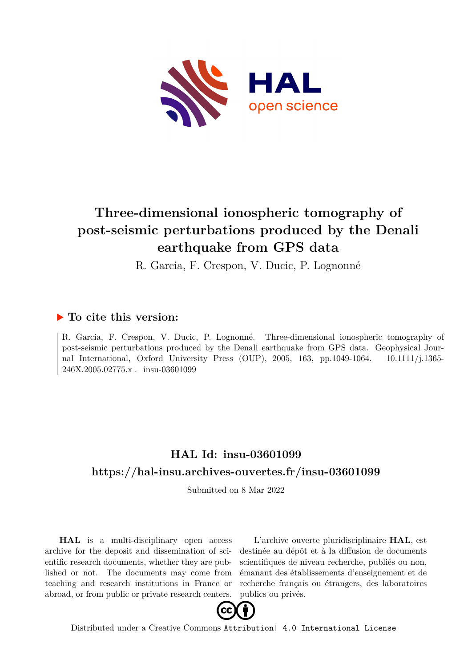

# **Three-dimensional ionospheric tomography of post-seismic perturbations produced by the Denali earthquake from GPS data**

R. Garcia, F. Crespon, V. Ducic, P. Lognonné

## **To cite this version:**

R. Garcia, F. Crespon, V. Ducic, P. Lognonné. Three-dimensional ionospheric tomography of post-seismic perturbations produced by the Denali earthquake from GPS data. Geophysical Journal International, Oxford University Press (OUP), 2005, 163, pp.1049-1064. 10.1111/j.1365-246X.2005.02775.x . insu-03601099

# **HAL Id: insu-03601099 <https://hal-insu.archives-ouvertes.fr/insu-03601099>**

Submitted on 8 Mar 2022

**HAL** is a multi-disciplinary open access archive for the deposit and dissemination of scientific research documents, whether they are published or not. The documents may come from teaching and research institutions in France or abroad, or from public or private research centers.

L'archive ouverte pluridisciplinaire **HAL**, est destinée au dépôt et à la diffusion de documents scientifiques de niveau recherche, publiés ou non, émanant des établissements d'enseignement et de recherche français ou étrangers, des laboratoires publics ou privés.



Distributed under a Creative Commons [Attribution| 4.0 International License](http://creativecommons.org/licenses/by/4.0/)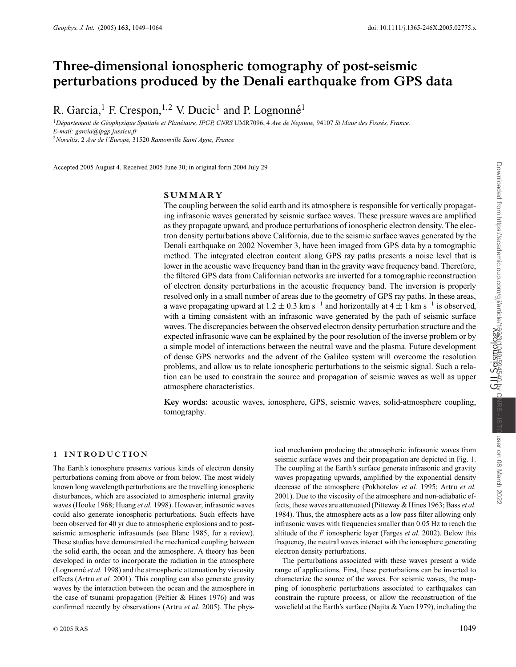## **Three-dimensional ionospheric tomography of post-seismic perturbations produced by the Denali earthquake from GPS data**

R. Garcia,<sup>1</sup> F. Crespon,<sup>1,2</sup> V. Ducic<sup>1</sup> and P. Lognonné<sup>1</sup>

<sup>1</sup>*D´epartement de G´eophysique Spatiale et Plan´etaire, IPGP, CNRS* UMR7096, 4 *Ave de Neptune,* 94107 *St Maur des Foss´es, France. E-mail: garcia@ipgp.jussieu.fr* <sup>2</sup>*Noveltis,* 2 *Ave de l'Europe,* 31520 *Ramonville Saint Agne, France*

Accepted 2005 August 4. Received 2005 June 30; in original form 2004 July 29

## **SUMMARY**

The coupling between the solid earth and its atmosphere is responsible for vertically propagating infrasonic waves generated by seismic surface waves. These pressure waves are amplified as they propagate upward, and produce perturbations of ionospheric electron density. The electron density perturbations above California, due to the seismic surface waves generated by the Denali earthquake on 2002 November 3, have been imaged from GPS data by a tomographic method. The integrated electron content along GPS ray paths presents a noise level that is lower in the acoustic wave frequency band than in the gravity wave frequency band. Therefore, the filtered GPS data from Californian networks are inverted for a tomographic reconstruction of electron density perturbations in the acoustic frequency band. The inversion is properly resolved only in a small number of areas due to the geometry of GPS ray paths. In these areas, a wave propagating upward at  $1.2 \pm 0.3$  km s<sup>-1</sup> and horizontally at  $4 \pm 1$  km s<sup>-1</sup> is observed, with a timing consistent with an infrasonic wave generated by the path of seismic surface waves. The discrepancies between the observed electron density perturbation structure and the expected infrasonic wave can be explained by the poor resolution of the inverse problem or by a simple model of interactions between the neutral wave and the plasma. Future development of dense GPS networks and the advent of the Galileo system will overcome the resolution problems, and allow us to relate ionospheric perturbations to the seismic signal. Such a relation can be used to constrain the source and propagation of seismic waves as well as upper atmosphere characteristics.

**Key words:** acoustic waves, ionosphere, GPS, seismic waves, solid-atmosphere coupling, tomography.

## **1 INTRO DUCTION**

The Earth's ionosphere presents various kinds of electron density perturbations coming from above or from below. The most widely known long wavelength perturbations are the travelling ionospheric disturbances, which are associated to atmospheric internal gravity waves (Hooke 1968; Huang *et al.* 1998). However, infrasonic waves could also generate ionospheric perturbations. Such effects have been observed for 40 yr due to atmospheric explosions and to postseismic atmospheric infrasounds (see Blanc 1985, for a review). These studies have demonstrated the mechanical coupling between the solid earth, the ocean and the atmosphere. A theory has been developed in order to incorporate the radiation in the atmosphere (Lognonné et al. 1998) and the atmospheric attenuation by viscosity effects (Artru *et al.* 2001). This coupling can also generate gravity waves by the interaction between the ocean and the atmosphere in the case of tsunami propagation (Peltier & Hines 1976) and was confirmed recently by observations (Artru *et al.* 2005). The physical mechanism producing the atmospheric infrasonic waves from seismic surface waves and their propagation are depicted in Fig. 1. The coupling at the Earth's surface generate infrasonic and gravity waves propagating upwards, amplified by the exponential density decrease of the atmosphere (Pokhotelov *et al.* 1995; Artru *et al.* 2001). Due to the viscosity of the atmosphere and non-adiabatic effects, these waves are attenuated (Pitteway & Hines 1963; Bass *et al.* 1984). Thus, the atmosphere acts as a low pass filter allowing only infrasonic waves with frequencies smaller than 0.05 Hz to reach the altitude of the *F* ionospheric layer (Farges *et al.* 2002). Below this frequency, the neutral waves interact with the ionosphere generating electron density perturbations.

The perturbations associated with these waves present a wide range of applications. First, these perturbations can be inverted to characterize the source of the waves. For seismic waves, the mapping of ionospheric perturbations associated to earthquakes can constrain the rupture process, or allow the reconstruction of the wavefield at the Earth's surface (Najita & Yuen 1979), including the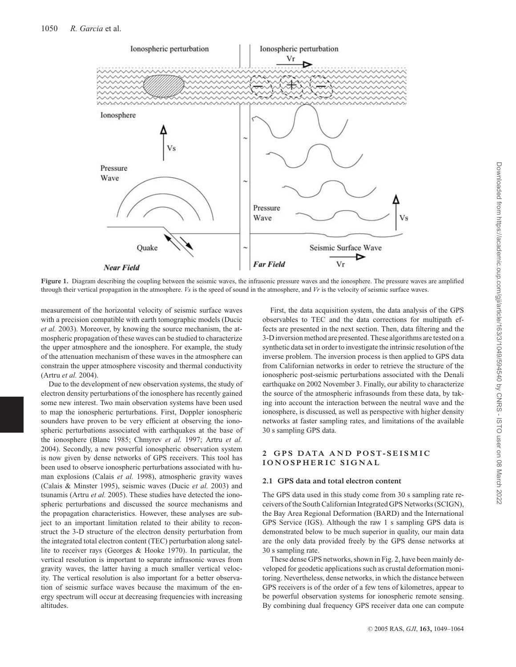

**Figure 1.** Diagram describing the coupling between the seismic waves, the infrasonic pressure waves and the ionosphere. The pressure waves are amplified through their vertical propagation in the atmosphere. *Vs* is the speed of sound in the atmosphere, and *Vr* is the velocity of seismic surface waves.

measurement of the horizontal velocity of seismic surface waves with a precision compatible with earth tomographic models (Ducic *et al.* 2003). Moreover, by knowing the source mechanism, the atmospheric propagation of these waves can be studied to characterize the upper atmosphere and the ionosphere. For example, the study of the attenuation mechanism of these waves in the atmosphere can constrain the upper atmosphere viscosity and thermal conductivity (Artru *et al.* 2004).

Due to the development of new observation systems, the study of electron density perturbations of the ionosphere has recently gained some new interest. Two main observation systems have been used to map the ionospheric perturbations. First, Doppler ionospheric sounders have proven to be very efficient at observing the ionospheric perturbations associated with earthquakes at the base of the ionosphere (Blanc 1985; Chmyrev *et al.* 1997; Artru *et al.* 2004). Secondly, a new powerful ionospheric observation system is now given by dense networks of GPS receivers. This tool has been used to observe ionospheric perturbations associated with human explosions (Calais *et al.* 1998), atmospheric gravity waves (Calais & Minster 1995), seismic waves (Ducic *et al.* 2003) and tsunamis (Artru *et al.* 2005). These studies have detected the ionospheric perturbations and discussed the source mechanisms and the propagation characteristics. However, these analyses are subject to an important limitation related to their ability to reconstruct the 3-D structure of the electron density perturbation from the integrated total electron content (TEC) perturbation along satellite to receiver rays (Georges & Hooke 1970). In particular, the vertical resolution is important to separate infrasonic waves from gravity waves, the latter having a much smaller vertical velocity. The vertical resolution is also important for a better observation of seismic surface waves because the maximum of the energy spectrum will occur at decreasing frequencies with increasing altitudes.

First, the data acquisition system, the data analysis of the GPS observables to TEC and the data corrections for multipath effects are presented in the next section. Then, data filtering and the 3-D inversion method are presented. These algorithms are tested on a synthetic data set in order to investigate the intrinsic resolution of the inverse problem. The inversion process is then applied to GPS data from Californian networks in order to retrieve the structure of the ionospheric post-seismic perturbations associated with the Denali earthquake on 2002 November 3. Finally, our ability to characterize the source of the atmospheric infrasounds from these data, by taking into account the interaction between the neutral wave and the ionosphere, is discussed, as well as perspective with higher density networks at faster sampling rates, and limitations of the available 30 s sampling GPS data.

## **2 GPS DATA AND POST-SEISMIC IONOSPHERIC SIGNAL**

#### **2.1 GPS data and total electron content**

The GPS data used in this study come from 30 s sampling rate receivers of the South Californian Integrated GPS Networks (SCIGN), the Bay Area Regional Deformation (BARD) and the International GPS Service (IGS). Although the raw 1 s sampling GPS data is demonstrated below to be much superior in quality, our main data are the only data provided freely by the GPS dense networks at 30 s sampling rate.

These dense GPS networks, shown in Fig. 2, have been mainly developed for geodetic applications such as crustal deformation monitoring. Nevertheless, dense networks, in which the distance between GPS receivers is of the order of a few tens of kilometres, appear to be powerful observation systems for ionospheric remote sensing. By combining dual frequency GPS receiver data one can compute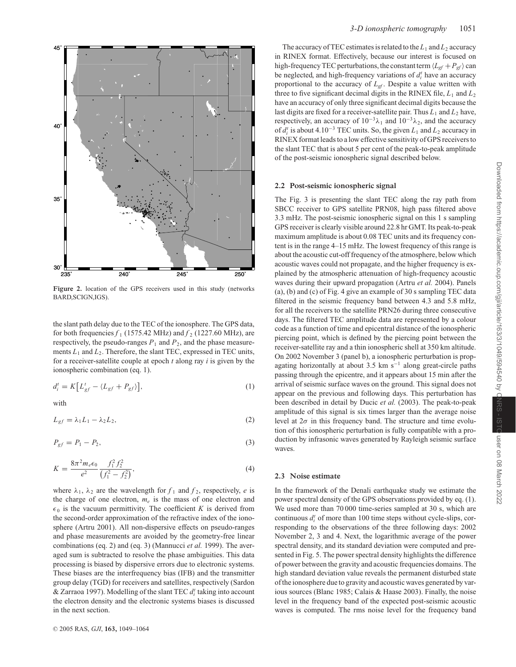

**Figure 2.** location of the GPS receivers used in this study (networks BARD,SCIGN,IGS).

the slant path delay due to the TEC of the ionosphere. The GPS data, for both frequencies  $f_1$  (1575.42 MHz) and  $f_2$  (1227.60 MHz), are respectively, the pseudo-ranges  $P_1$  and  $P_2$ , and the phase measurements  $L_1$  and  $L_2$ . Therefore, the slant TEC, expressed in TEC units, for a receiver-satellite couple at epoch *t* along ray *i* is given by the ionospheric combination (eq. 1).

$$
d_i^t = K \left[ L_{gf}^t - \langle L_{gf} + P_{gf} \rangle \right],\tag{1}
$$

with

$$
L_{gf} = \lambda_1 L_1 - \lambda_2 L_2, \tag{2}
$$

$$
P_{gf} = P_1 - P_2,\t\t(3)
$$

$$
K = \frac{8\pi^2 m_e \epsilon_0}{e^2} \frac{f_1^2 f_2^2}{(f_1^2 - f_2^2)},
$$
\n(4)

where  $\lambda_1$ ,  $\lambda_2$  are the wavelength for  $f_1$  and  $f_2$ , respectively, *e* is the charge of one electron,  $m_e$  is the mass of one electron and  $\epsilon_0$  is the vacuum permittivity. The coefficient *K* is derived from the second-order approximation of the refractive index of the ionosphere (Artru 2001). All non-dispersive effects on pseudo-ranges and phase measurements are avoided by the geometry-free linear combinations (eq. 2) and (eq. 3) (Mannucci *et al.* 1999). The averaged sum is subtracted to resolve the phase ambiguities. This data processing is biased by dispersive errors due to electronic systems. These biases are the interfrequency bias (IFB) and the transmitter group delay (TGD) for receivers and satellites, respectively (Sardon & Zarraoa 1997). Modelling of the slant TEC *d<sup>t</sup> <sup>i</sup>* taking into account the electron density and the electronic systems biases is discussed in the next section.

The accuracy of TEC estimates is related to the  $L_1$  and  $L_2$  accuracy in RINEX format. Effectively, because our interest is focused on high-frequency TEC perturbations, the constant term  $\langle L_{gf} + P_{gf} \rangle$  can be neglected, and high-frequency variations of  $d_i^t$  have an accuracy proportional to the accuracy of  $L_{gf}$ . Despite a value written with three to five significant decimal digits in the RINEX file,  $L_1$  and  $L_2$ have an accuracy of only three significant decimal digits because the last digits are fixed for a receiver-satellite pair. Thus  $L_1$  and  $L_2$  have, respectively, an accuracy of  $10^{-3}\lambda_1$  and  $10^{-3}\lambda_2$ , and the accuracy of  $d_i^t$  is about 4.10<sup>-3</sup> TEC units. So, the given  $L_1$  and  $L_2$  accuracy in RINEX format leads to a low effective sensitivity of GPS receivers to the slant TEC that is about 5 per cent of the peak-to-peak amplitude of the post-seismic ionospheric signal described below.

#### **2.2 Post-seismic ionospheric signal**

The Fig. 3 is presenting the slant TEC along the ray path from SBCC receiver to GPS satellite PRN08, high pass filtered above 3.3 mHz. The post-seismic ionospheric signal on this 1 s sampling GPS receiver is clearly visible around 22.8 hr GMT. Its peak-to-peak maximum amplitude is about 0.08 TEC units and its frequency content is in the range 4–15 mHz. The lowest frequency of this range is about the acoustic cut-off frequency of the atmosphere, below which acoustic waves could not propagate, and the higher frequency is explained by the atmospheric attenuation of high-frequency acoustic waves during their upward propagation (Artru *et al.* 2004). Panels (a), (b) and (c) of Fig. 4 give an example of 30 s sampling TEC data filtered in the seismic frequency band between 4.3 and 5.8 mHz, for all the receivers to the satellite PRN26 during three consecutive days. The filtered TEC amplitude data are represented by a colour code as a function of time and epicentral distance of the ionospheric piercing point, which is defined by the piercing point between the receiver-satellite ray and a thin ionospheric shell at 350 km altitude. On 2002 November 3 (panel b), a ionospheric perturbation is propagating horizontally at about 3.5 km  $s^{-1}$  along great-circle paths passing through the epicentre, and it appears about 15 min after the arrival of seismic surface waves on the ground. This signal does not appear on the previous and following days. This perturbation has been described in detail by Ducic *et al.* (2003). The peak-to-peak amplitude of this signal is six times larger than the average noise level at  $2\sigma$  in this frequency band. The structure and time evolution of this ionospheric perturbation is fully compatible with a production by infrasonic waves generated by Rayleigh seismic surface waves.

## **2.3 Noise estimate**

In the framework of the Denali earthquake study we estimate the power spectral density of the GPS observations provided by eq. (1). We used more than 70 000 time-series sampled at 30 s, which are continuous  $d_i^t$  of more than 100 time steps without cycle-slips, corresponding to the observations of the three following days: 2002 November 2, 3 and 4. Next, the logarithmic average of the power spectral density, and its standard deviation were computed and presented in Fig. 5. The power spectral density highlights the difference of power between the gravity and acoustic frequencies domains. The high standard deviation value reveals the permanent disturbed state of the ionosphere due to gravity and acoustic waves generated by various sources (Blanc 1985; Calais & Haase 2003). Finally, the noise level in the frequency band of the expected post-seismic acoustic waves is computed. The rms noise level for the frequency band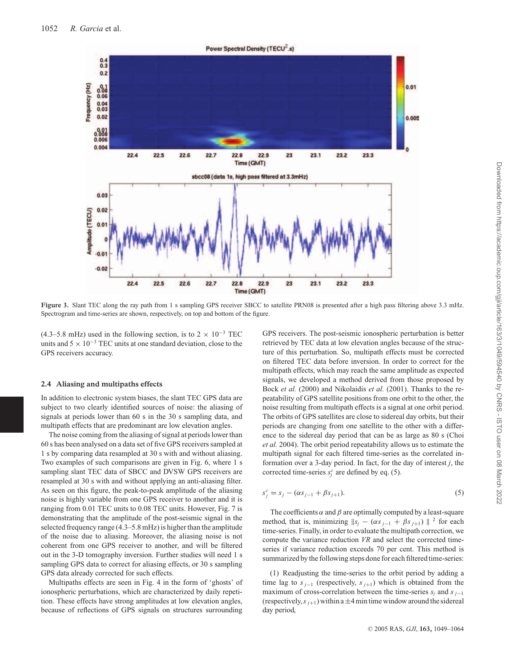

**Figure 3.** Slant TEC along the ray path from 1 s sampling GPS receiver SBCC to satellite PRN08 is presented after a high pass filtering above 3.3 mHz. Spectrogram and time-series are shown, respectively, on top and bottom of the figure.

(4.3–5.8 mHz) used in the following section, is to  $2 \times 10^{-3}$  TEC units and  $5 \times 10^{-3}$  TEC units at one standard deviation, close to the GPS receivers accuracy.

#### **2.4 Aliasing and multipaths effects**

In addition to electronic system biases, the slant TEC GPS data are subject to two clearly identified sources of noise: the aliasing of signals at periods lower than 60 s in the 30 s sampling data, and multipath effects that are predominant are low elevation angles.

The noise coming from the aliasing of signal at periods lower than 60 s has been analysed on a data set of five GPS receivers sampled at 1 s by comparing data resampled at 30 s with and without aliasing. Two examples of such comparisons are given in Fig. 6, where 1 s sampling slant TEC data of SBCC and DVSW GPS receivers are resampled at 30 s with and without applying an anti-aliasing filter. As seen on this figure, the peak-to-peak amplitude of the aliasing noise is highly variable from one GPS receiver to another and it is ranging from 0.01 TEC units to 0.08 TEC units. However, Fig. 7 is demonstrating that the amplitude of the post-seismic signal in the selected frequency range (4.3–5.8 mHz) is higher than the amplitude of the noise due to aliasing. Moreover, the aliasing noise is not coherent from one GPS receiver to another, and will be filtered out in the 3-D tomography inversion. Further studies will need 1 s sampling GPS data to correct for aliasing effects, or 30 s sampling GPS data already corrected for such effects.

Multipaths effects are seen in Fig. 4 in the form of 'ghosts' of ionospheric perturbations, which are characterized by daily repetition. These effects have strong amplitudes at low elevation angles, because of reflections of GPS signals on structures surrounding

GPS receivers. The post-seismic ionospheric perturbation is better retrieved by TEC data at low elevation angles because of the structure of this perturbation. So, multipath effects must be corrected on filtered TEC data before inversion. In order to correct for the multipath effects, which may reach the same amplitude as expected signals, we developed a method derived from those proposed by Bock *et al.* (2000) and Nikolaidis *et al.* (2001). Thanks to the repeatability of GPS satellite positions from one orbit to the other, the noise resulting from multipath effects is a signal at one orbit period. The orbits of GPS satellites are close to sidereal day orbits, but their periods are changing from one satellite to the other with a difference to the sidereal day period that can be as large as 80 s (Choi *et al.* 2004). The orbit period repeatability allows us to estimate the multipath signal for each filtered time-series as the correlated information over a 3-day period. In fact, for the day of interest *j*, the corrected time-series  $s_j^c$  are defined by eq. (5).

$$
s_j^c = s_j - (\alpha s_{j-1} + \beta s_{j+1}).
$$
\n(5)

The coefficients  $\alpha$  and  $\beta$  are optimally computed by a least-square method, that is, minimizing  $||s_i - (\alpha s_{i-1} + \beta s_{i+1})||^2$  for each time-series. Finally, in order to evaluate the multipath correction, we compute the variance reduction *VR* and select the corrected timeseries if variance reduction exceeds 70 per cent. This method is summarized by the following steps done for each filtered time-series:

(1) Readjusting the time-series to the orbit period by adding a time lag to  $s_{j-1}$  (respectively,  $s_{j+1}$ ) which is obtained from the maximum of cross-correlation between the time-series  $s_j$  and  $s_{j-1}$ (respectively,  $s_{i+1}$ ) within a  $\pm 4$  min time window around the sidereal day period,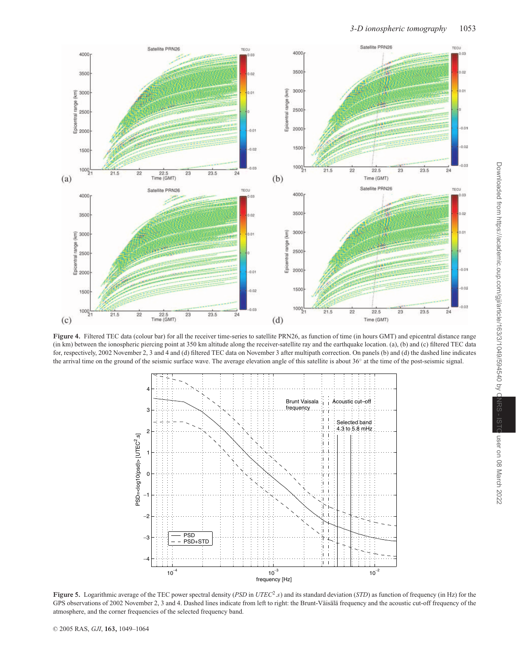

Figure 4. Filtered TEC data (colour bar) for all the receiver time-series to satellite PRN26, as function of time (in hours GMT) and epicentral distance range (in km) between the ionospheric piercing point at 350 km altitude along the receiver-satellite ray and the earthquake location. (a), (b) and (c) filtered TEC data for, respectively, 2002 November 2, 3 and 4 and (d) filtered TEC data on November 3 after multipath correction. On panels (b) and (d) the dashed line indicates the arrival time on the ground of the seismic surface wave. The average elevation angle of this satellite is about 36◦ at the time of the post-seismic signal.



**Figure 5.** Logarithmic average of the TEC power spectral density (*PSD* in *UTEC*2.*s*) and its standard deviation (*STD*) as function of frequency (in Hz) for the GPS observations of 2002 November 2, 3 and 4. Dashed lines indicate from left to right: the Brunt-Väisälä frequency and the acoustic cut-off frequency of the atmosphere, and the corner frequencies of the selected frequency band.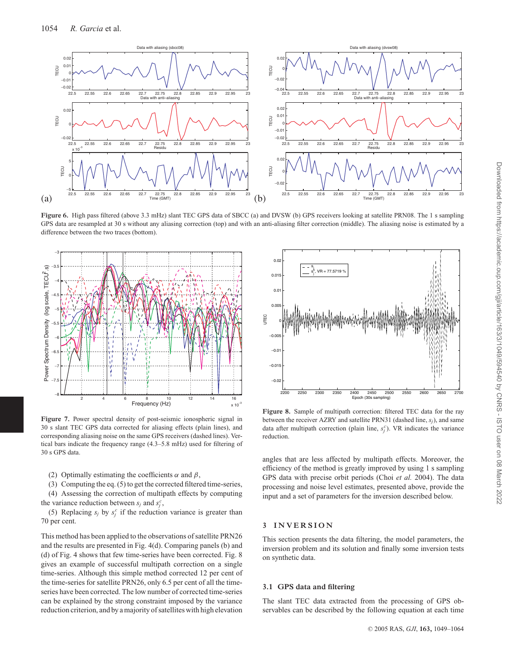

Figure 6. High pass filtered (above 3.3 mHz) slant TEC GPS data of SBCC (a) and DVSW (b) GPS receivers looking at satellite PRN08. The 1 s sampling GPS data are resampled at 30 s without any aliasing correction (top) and with an anti-aliasing filter correction (middle). The aliasing noise is estimated by a difference between the two traces (bottom).



**Figure 7.** Power spectral density of post-seismic ionospheric signal in 30 s slant TEC GPS data corrected for aliasing effects (plain lines), and corresponding aliasing noise on the same GPS receivers (dashed lines). Vertical bars indicate the frequency range (4.3–5.8 mHz) used for filtering of 30 s GPS data.

(2) Optimally estimating the coefficients  $\alpha$  and  $\beta$ ,

(3) Computing the eq. (5) to get the corrected filtered time-series,

(4) Assessing the correction of multipath effects by computing the variance reduction between  $s_j$  and  $s_j^c$ ,

(5) Replacing  $s_j$  by  $s_j^c$  if the reduction variance is greater than 70 per cent.

This method has been applied to the observations of satellite PRN26 and the results are presented in Fig. 4(d). Comparing panels (b) and (d) of Fig. 4 shows that few time-series have been corrected. Fig. 8 gives an example of successful multipath correction on a single time-series. Although this simple method corrected 12 per cent of the time-series for satellite PRN26, only 6.5 per cent of all the timeseries have been corrected. The low number of corrected time-series can be explained by the strong constraint imposed by the variance reduction criterion, and by a majority of satellites with high elevation



**Figure 8.** Sample of multipath correction: filtered TEC data for the ray between the receiver AZRY and satellite PRN31 (dashed line, *sj*), and same data after multipath correction (plain line,  $s_j^c$ ). VR indicates the variance reduction.

angles that are less affected by multipath effects. Moreover, the efficiency of the method is greatly improved by using 1 s sampling GPS data with precise orbit periods (Choi *et al.* 2004). The data processing and noise level estimates, presented above, provide the input and a set of parameters for the inversion described below.

## **3 INV ERSION**

This section presents the data filtering, the model parameters, the inversion problem and its solution and finally some inversion tests on synthetic data.

## **3.1 GPS data and filtering**

The slant TEC data extracted from the processing of GPS observables can be described by the following equation at each time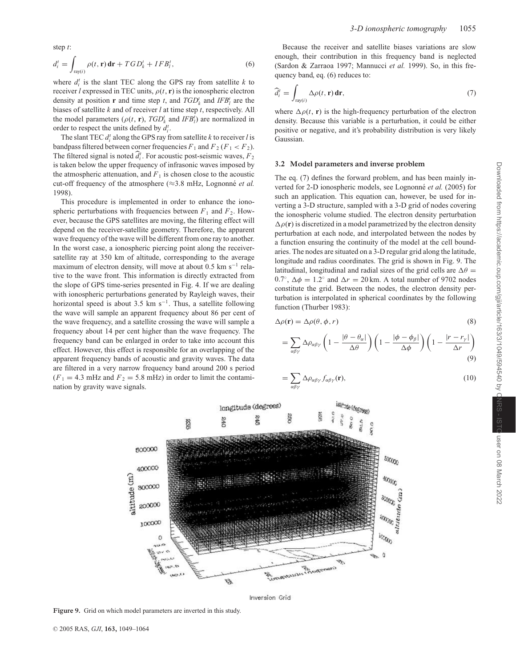step *t*:

$$
d_i^t = \int_{\text{ray}(i)} \rho(t, \mathbf{r}) \, \mathbf{dr} + T \, G D_k^t + I F B_l^t,\tag{6}
$$

where  $d_i^t$  is the slant TEC along the GPS ray from satellite  $k$  to receiver *l* expressed in TEC units,  $\rho(t, r)$  is the ionospheric electron density at position **r** and time step *t*, and  $TGD_k^t$  and  $IFB_l^t$  are the biases of satellite *k* and of receiver *l* at time step *t*, respectively. All the model parameters ( $\rho(t, \mathbf{r})$ ,  $TGD_k^t$  and  $IFB_l^t$ ) are normalized in order to respect the units defined by  $d_i^t$ .

The slant TEC  $d_i^t$  along the GPS ray from satellite  $k$  to receiver  $l$  is bandpass filtered between corner frequencies  $F_1$  and  $F_2$  ( $F_1$  <  $F_2$ ). The filtered signal is noted  $\hat{d}_i^t$ . For acoustic post-seismic waves,  $F_2$ is taken below the upper frequency of infrasonic waves imposed by the atmospheric attenuation, and  $F_1$  is chosen close to the acoustic cut-off frequency of the atmosphere  $(\approx 3.8 \text{ mHz}, \text{Lognonné } et \text{ }al.$ 1998).

This procedure is implemented in order to enhance the ionospheric perturbations with frequencies between  $F_1$  and  $F_2$ . However, because the GPS satellites are moving, the filtering effect will depend on the receiver-satellite geometry. Therefore, the apparent wave frequency of the wave will be different from one ray to another. In the worst case, a ionospheric piercing point along the receiversatellite ray at 350 km of altitude, corresponding to the average maximum of electron density, will move at about 0.5 km s<sup>-1</sup> relative to the wave front. This information is directly extracted from the slope of GPS time-series presented in Fig. 4. If we are dealing with ionospheric perturbations generated by Rayleigh waves, their horizontal speed is about 3.5 km s<sup> $-1$ </sup>. Thus, a satellite following the wave will sample an apparent frequency about 86 per cent of the wave frequency, and a satellite crossing the wave will sample a frequency about 14 per cent higher than the wave frequency. The frequency band can be enlarged in order to take into account this effect. However, this effect is responsible for an overlapping of the apparent frequency bands of acoustic and gravity waves. The data are filtered in a very narrow frequency band around 200 s period  $(F_1 = 4.3 \text{ mHz}$  and  $F_2 = 5.8 \text{ mHz}$  in order to limit the contamination by gravity wave signals.

Because the receiver and satellite biases variations are slow enough, their contribution in this frequency band is neglected (Sardon & Zarraoa 1997; Mannucci *et al.* 1999). So, in this frequency band, eq. (6) reduces to:

$$
\widehat{d}_i^t = \int_{\text{ray}(i)} \Delta \rho(t, \mathbf{r}) \, \mathbf{dr},\tag{7}
$$

where  $\Delta \rho(t, r)$  is the high-frequency perturbation of the electron density. Because this variable is a perturbation, it could be either positive or negative, and it's probability distribution is very likely Gaussian.

#### **3.2 Model parameters and inverse problem**

The eq. (7) defines the forward problem, and has been mainly inverted for 2-D ionospheric models, see Lognonné et al. (2005) for such an application. This equation can, however, be used for inverting a 3-D structure, sampled with a 3-D grid of nodes covering the ionospheric volume studied. The electron density perturbation  $\Delta \rho(\mathbf{r})$  is discretized in a model parametrized by the electron density perturbation at each node, and interpolated between the nodes by a function ensuring the continuity of the model at the cell boundaries. The nodes are situated on a 3-D regular grid along the latitude, longitude and radius coordinates. The grid is shown in Fig. 9. The latitudinal, longitudinal and radial sizes of the grid cells are  $\Delta\theta$  = 0.7°,  $\Delta \phi = 1.2$ ° and  $\Delta r = 20$  km. A total number of 9702 nodes constitute the grid. Between the nodes, the electron density perturbation is interpolated in spherical coordinates by the following function (Thurber 1983):

$$
\Delta \rho(\mathbf{r}) = \Delta \rho(\theta, \phi, r) \tag{8}
$$

$$
= \sum_{\alpha\beta\gamma} \Delta \rho_{\alpha\beta\gamma} \left( 1 - \frac{|\theta - \theta_{\alpha}|}{\Delta \theta} \right) \left( 1 - \frac{|\phi - \phi_{\beta}|}{\Delta \phi} \right) \left( 1 - \frac{|r - r_{\gamma}|}{\Delta r} \right) \tag{9}
$$

$$
=\sum_{\alpha\beta\gamma}\Delta\rho_{\alpha\beta\gamma}f_{\alpha\beta\gamma}(\mathbf{r}),\tag{10}
$$



Inversion Grid

**Figure 9.** Grid on which model parameters are inverted in this study.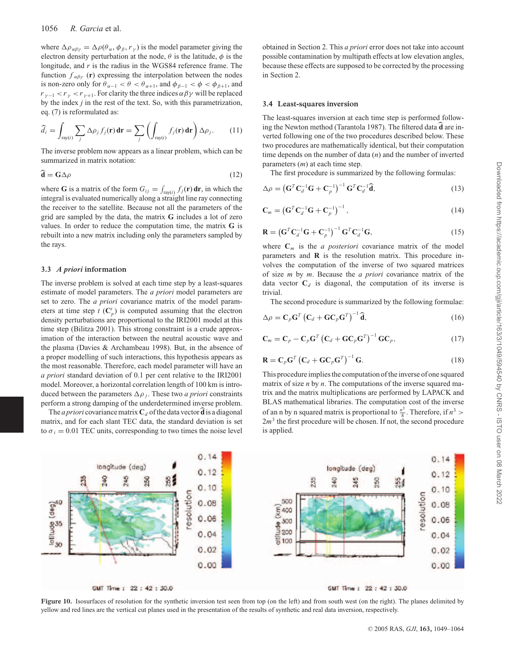where  $\Delta \rho_{\alpha\beta\gamma} = \Delta \rho(\theta_{\alpha}, \phi_{\beta}, r_{\gamma})$  is the model parameter giving the electron density perturbation at the node,  $\theta$  is the latitude,  $\phi$  is the longitude, and *r* is the radius in the WGS84 reference frame. The function  $f_{\alpha\beta\gamma}$  (**r**) expressing the interpolation between the nodes is non-zero only for  $\theta_{\alpha-1} < \theta < \theta_{\alpha+1}$ , and  $\phi_{\beta-1} < \phi < \phi_{\beta+1}$ , and  $r_{\gamma-1} < r_{\gamma} < r_{\gamma+1}$ . For clarity the three indices  $\alpha \beta \gamma$  will be replaced by the index *j* in the rest of the text. So, with this parametrization, eq. (7) is reformulated as:

$$
\widehat{d}_i = \int_{\text{ray}(i)} \sum_j \Delta \rho_j f_j(\mathbf{r}) \, \mathbf{dr} = \sum_j \left( \int_{\text{ray}(i)} f_j(\mathbf{r}) \, \mathbf{dr} \right) \Delta \rho_j. \tag{11}
$$

The inverse problem now appears as a linear problem, which can be summarized in matrix notation:

$$
\mathbf{d} = \mathbf{G} \Delta \rho \tag{12}
$$

where **G** is a matrix of the form  $G_{ij} = \int_{ray(i)} f_j(\mathbf{r}) d\mathbf{r}$ , in which the integral is evaluated numerically along a straight line ray connecting the receiver to the satellite. Because not all the parameters of the grid are sampled by the data, the matrix **G** includes a lot of zero values. In order to reduce the computation time, the matrix **G** is rebuilt into a new matrix including only the parameters sampled by the rays.

#### **3.3** *A priori* **information**

The inverse problem is solved at each time step by a least-squares estimate of model parameters. The *a priori* model parameters are set to zero. The *a priori* covariance matrix of the model parameters at time step  $t$  ( $\mathbb{C}_p^t$ ) is computed assuming that the electron density perturbations are proportional to the IRI2001 model at this time step (Bilitza 2001). This strong constraint is a crude approximation of the interaction between the neutral acoustic wave and the plasma (Davies & Archambeau 1998). But, in the absence of a proper modelling of such interactions, this hypothesis appears as the most reasonable. Therefore, each model parameter will have an *a priori* standard deviation of 0.1 per cent relative to the IRI2001 model. Moreover, a horizontal correlation length of 100 km is introduced between the parameters  $\Delta \rho_i$ . These two *a priori* constraints perform a strong damping of the underdetermined inverse problem.

The *a priori* covariance matrix  $C_d$  of the data vector **d** is a diagonal matrix, and for each slant TEC data, the standard deviation is set to  $\sigma_i = 0.01$  TEC units, corresponding to two times the noise level obtained in Section 2. This *a priori* error does not take into account possible contamination by multipath effects at low elevation angles, because these effects are supposed to be corrected by the processing in Section 2.

#### **3.4 Least-squares inversion**

The least-squares inversion at each time step is performed following the Newton method (Tarantola 1987). The filtered data  $\vec{d}$  are inverted following one of the two procedures described below. These two procedures are mathematically identical, but their computation time depends on the number of data (*n*) and the number of inverted parameters (*m*) at each time step.

The first procedure is summarized by the following formulas:

$$
\Delta \rho = \left(\mathbf{G}^T \mathbf{C}_d^{-1} \mathbf{G} + \mathbf{C}_p^{-1}\right)^{-1} \mathbf{G}^T \mathbf{C}_d^{-1} \widehat{\mathbf{d}},\tag{13}
$$

$$
\mathbf{C}_m = \left(\mathbf{G}^T \mathbf{C}_d^{-1} \mathbf{G} + \mathbf{C}_p^{-1}\right)^{-1},\tag{14}
$$

$$
\mathbf{R} = \left(\mathbf{G}^T \mathbf{C}_d^{-1} \mathbf{G} + \mathbf{C}_p^{-1}\right)^{-1} \mathbf{G}^T \mathbf{C}_d^{-1} \mathbf{G},\tag{15}
$$

where  $C_m$  is the *a posteriori* covariance matrix of the model parameters and **R** is the resolution matrix. This procedure involves the computation of the inverse of two squared matrices of size *m* by *m*. Because the *a priori* covariance matrix of the data vector  $C_d$  is diagonal, the computation of its inverse is trivial.

The second procedure is summarized by the following formulae:

$$
\Delta \rho = \mathbf{C}_p \mathbf{G}^T \left( \mathbf{C}_d + \mathbf{G} \mathbf{C}_p \mathbf{G}^T \right)^{-1} \widehat{\mathbf{d}},\tag{16}
$$

$$
\mathbf{C}_m = \mathbf{C}_p - \mathbf{C}_p \mathbf{G}^T \left( \mathbf{C}_d + \mathbf{G} \mathbf{C}_p \mathbf{G}^T \right)^{-1} \mathbf{G} \mathbf{C}_p, \tag{17}
$$

$$
\mathbf{R} = \mathbf{C}_p \mathbf{G}^T \left( \mathbf{C}_d + \mathbf{G} \mathbf{C}_p \mathbf{G}^T \right)^{-1} \mathbf{G}.
$$
 (18)

This procedure implies the computation of the inverse of one squared matrix of size *n* by *n*. The computations of the inverse squared matrix and the matrix multiplications are performed by LAPACK and BLAS mathematical libraries. The computation cost of the inverse of an n by n squared matrix is proportional to  $\frac{n^3}{8}$ . Therefore, if  $n^3$  >  $2m<sup>3</sup>$  the first procedure will be chosen. If not, the second procedure is applied.



Figure 10. Isosurfaces of resolution for the synthetic inversion test seen from top (on the left) and from south west (on the right). The planes delimited by yellow and red lines are the vertical cut planes used in the presentation of the results of synthetic and real data inversion, respectively.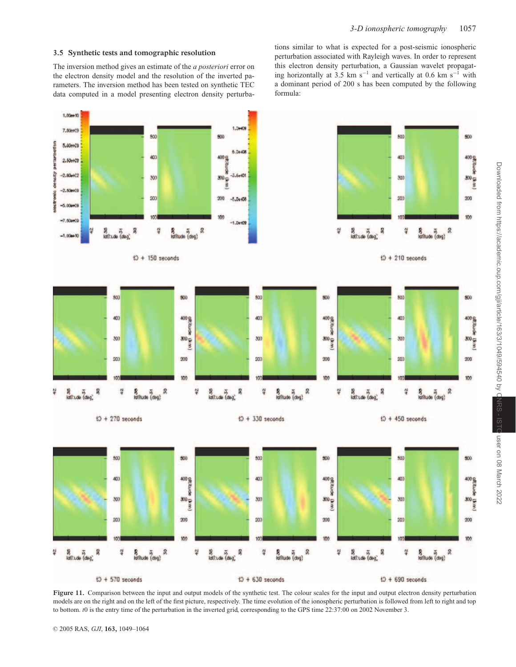## **3.5 Synthetic tests and tomographic resolution**

The inversion method gives an estimate of the *a posteriori* error on the electron density model and the resolution of the inverted parameters. The inversion method has been tested on synthetic TEC data computed in a model presenting electron density perturbations similar to what is expected for a post-seismic ionospheric perturbation associated with Rayleigh waves. In order to represent this electron density perturbation, a Gaussian wavelet propagating horizontally at 3.5 km s<sup>-1</sup> and vertically at 0.6 km s<sup>-1</sup> with a dominant period of 200 s has been computed by the following formula:



Figure 11. Comparison between the input and output models of the synthetic test. The colour scales for the input and output electron density perturbation models are on the right and on the left of the first picture, respectively. The time evolution of the ionospheric perturbation is followed from left to right and top to bottom. *t*0 is the entry time of the perturbation in the inverted grid, corresponding to the GPS time 22:37:00 on 2002 November 3.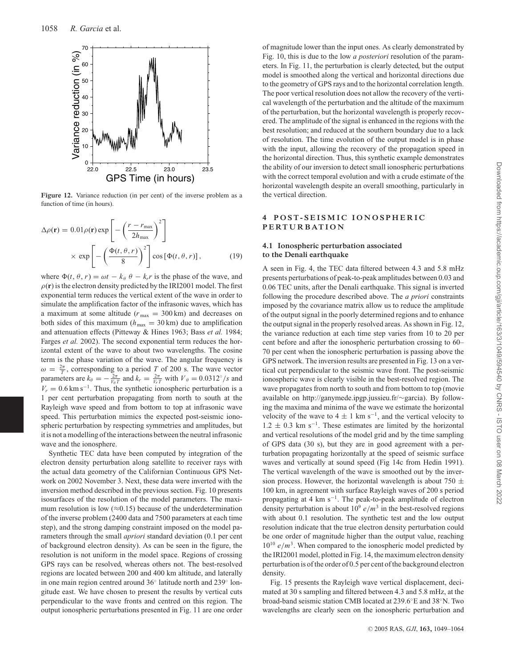

Figure 12. Variance reduction (in per cent) of the inverse problem as a function of time (in hours).

$$
\Delta \rho(\mathbf{r}) = 0.01 \rho(\mathbf{r}) \exp\left[-\left(\frac{r - r_{\text{max}}}{2h_{\text{max}}}\right)^2\right] \times \exp\left[-\left(\frac{\Phi(t, \theta, r)}{8}\right)^2\right] \cos\left[\Phi(t, \theta, r)\right],\tag{19}
$$

where  $\Phi(t, \theta, r) = \omega t - k_{\theta} \theta - k_{r} r$  is the phase of the wave, and  $\rho(\mathbf{r})$  is the electron density predicted by the IRI2001 model. The first exponential term reduces the vertical extent of the wave in order to simulate the amplification factor of the infrasonic waves, which has a maximum at some altitude ( $r_{\text{max}} = 300 \text{ km}$ ) and decreases on both sides of this maximum ( $h_{\text{max}} = 30 \text{ km}$ ) due to amplification and attenuation effects (Pitteway & Hines 1963; Bass *et al.* 1984; Farges *et al.* 2002). The second exponential term reduces the horizontal extent of the wave to about two wavelengths. The cosine term is the phase variation of the wave. The angular frequency is  $\omega = \frac{2\pi}{T}$ , corresponding to a period *T* of 200 s. The wave vector parameters are  $k_{\theta} = -\frac{2\pi}{V_{\theta}T}$  and  $k_r = \frac{2\pi}{V_rT}$  with  $V_{\theta} = 0.0312°/s$  and  $V_r = 0.6$  km s<sup>-1</sup>. Thus, the synthetic ionospheric perturbation is a 1 per cent perturbation propagating from north to south at the Rayleigh wave speed and from bottom to top at infrasonic wave speed. This perturbation mimics the expected post-seismic ionospheric perturbation by respecting symmetries and amplitudes, but it is not a modelling of the interactions between the neutral infrasonic wave and the ionosphere.

Synthetic TEC data have been computed by integration of the electron density perturbation along satellite to receiver rays with the actual data geometry of the Californian Continuous GPS Network on 2002 November 3. Next, these data were inverted with the inversion method described in the previous section. Fig. 10 presents isosurfaces of the resolution of the model parameters. The maximum resolution is low  $(\approx 0.15)$  because of the underdetermination of the inverse problem (2400 data and 7500 parameters at each time step), and the strong damping constraint imposed on the model parameters through the small *apriori* standard deviation (0.1 per cent of background electron density). As can be seen in the figure, the resolution is not uniform in the model space. Regions of crossing GPS rays can be resolved, whereas others not. The best-resolved regions are located between 200 and 400 km altitude, and laterally in one main region centred around 36◦ latitude north and 239◦ longitude east. We have chosen to present the results by vertical cuts perpendicular to the wave fronts and centred on this region. The output ionospheric perturbations presented in Fig. 11 are one order of magnitude lower than the input ones. As clearly demonstrated by Fig. 10, this is due to the low *a posteriori* resolution of the parameters. In Fig. 11, the perturbation is clearly detected, but the output model is smoothed along the vertical and horizontal directions due to the geometry of GPS rays and to the horizontal correlation length. The poor vertical resolution does not allow the recovery of the vertical wavelength of the perturbation and the altitude of the maximum of the perturbation, but the horizontal wavelength is properly recovered. The amplitude of the signal is enhanced in the regions with the best resolution; and reduced at the southern boundary due to a lack of resolution. The time evolution of the output model is in phase with the input, allowing the recovery of the propagation speed in the horizontal direction. Thus, this synthetic example demonstrates the ability of our inversion to detect small ionospheric perturbations with the correct temporal evolution and with a crude estimate of the horizontal wavelength despite an overall smoothing, particularly in the vertical direction.

## **4 POST- SEISMIC IONOSPHERIC PERTURBATION**

## **4.1 Ionospheric perturbation associated to the Denali earthquake**

A seen in Fig. 4, the TEC data filtered between 4.3 and 5.8 mHz presents perturbations of peak-to-peak amplitudes between 0.03 and 0.06 TEC units, after the Denali earthquake. This signal is inverted following the procedure described above. The *a priori* constraints imposed by the covariance matrix allow us to reduce the amplitude of the output signal in the poorly determined regions and to enhance the output signal in the properly resolved areas. As shown in Fig. 12, the variance reduction at each time step varies from 10 to 20 per cent before and after the ionospheric perturbation crossing to 60– 70 per cent when the ionospheric perturbation is passing above the GPS network. The inversion results are presented in Fig. 13 on a vertical cut perpendicular to the seismic wave front. The post-seismic ionospheric wave is clearly visible in the best-resolved region. The wave propagates from north to south and from bottom to top (movie available on http://ganymede.ipgp.jussieu.fr/∼garcia). By following the maxima and minima of the wave we estimate the horizontal velocity of the wave to  $4 \pm 1$  km s<sup>-1</sup>, and the vertical velocity to  $1.2 \pm 0.3$  km s<sup>-1</sup>. These estimates are limited by the horizontal and vertical resolutions of the model grid and by the time sampling of GPS data (30 s), but they are in good agreement with a perturbation propagating horizontally at the speed of seismic surface waves and vertically at sound speed (Fig 14c from Hedin 1991). The vertical wavelength of the wave is smoothed out by the inversion process. However, the horizontal wavelength is about 750  $\pm$ 100 km, in agreement with surface Rayleigh waves of 200 s period propagating at 4 km s−1. The peak-to-peak amplitude of electron density perturbation is about  $10^9$  *e/m*<sup>3</sup> in the best-resolved regions with about 0.1 resolution. The synthetic test and the low output resolution indicate that the true electron density perturbation could be one order of magnitude higher than the output value, reaching  $10^{10}$  *e/m*<sup>3</sup>. When compared to the ionospheric model predicted by the IRI2001 model, plotted in Fig. 14, the maximum electron density perturbation is of the order of 0.5 per cent of the background electron density.

Fig. 15 presents the Rayleigh wave vertical displacement, decimated at 30 s sampling and filtered between 4.3 and 5.8 mHz, at the broad-band seismic station CMB located at 239.6◦E and 38◦N. Two wavelengths are clearly seen on the ionospheric perturbation and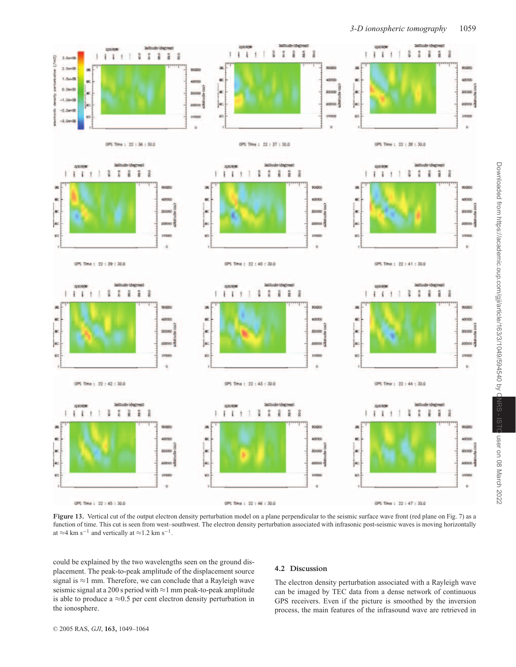

Figure 13. Vertical cut of the output electron density perturbation model on a plane perpendicular to the seismic surface wave front (red plane on Fig. 7) as a function of time. This cut is seen from west–southwest. The electron density perturbation associated with infrasonic post-seismic waves is moving horizontally at  $\approx$ 4 km s<sup>-1</sup> and vertically at  $\approx$ 1.2 km s<sup>-1</sup>.

could be explained by the two wavelengths seen on the ground displacement. The peak-to-peak amplitude of the displacement source signal is ≈1 mm. Therefore, we can conclude that a Rayleigh wave seismic signal at a 200 s period with  $\approx$  1 mm peak-to-peak amplitude is able to produce a  $\approx 0.5$  per cent electron density perturbation in the ionosphere.

## **4.2 Discussion**

The electron density perturbation associated with a Rayleigh wave can be imaged by TEC data from a dense network of continuous GPS receivers. Even if the picture is smoothed by the inversion process, the main features of the infrasound wave are retrieved in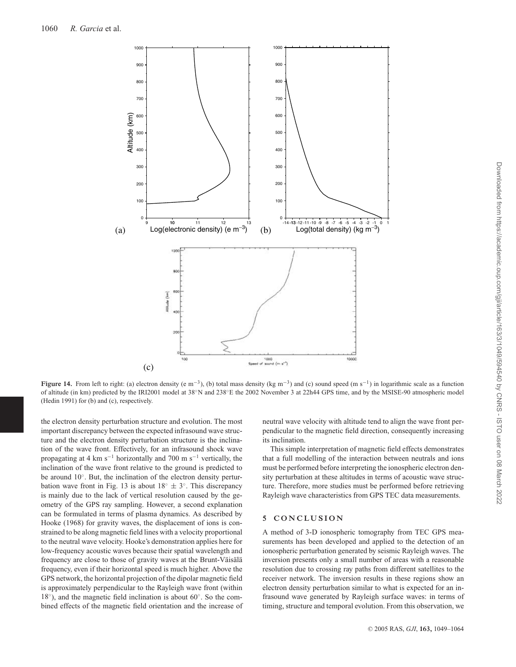

**Figure 14.** From left to right: (a) electron density (e m−3), (b) total mass density (kg m−3) and (c) sound speed (m s−1) in logarithmic scale as a function of altitude (in km) predicted by the IRI2001 model at 38◦N and 238◦E the 2002 November 3 at 22h44 GPS time, and by the MSISE-90 atmospheric model (Hedin 1991) for (b) and (c), respectively.

the electron density perturbation structure and evolution. The most important discrepancy between the expected infrasound wave structure and the electron density perturbation structure is the inclination of the wave front. Effectively, for an infrasound shock wave propagating at 4 km s<sup> $-1$ </sup> horizontally and 700 m s<sup> $-1$ </sup> vertically, the inclination of the wave front relative to the ground is predicted to be around 10◦. But, the inclination of the electron density perturbation wave front in Fig. 13 is about  $18° ± 3°$ . This discrepancy is mainly due to the lack of vertical resolution caused by the geometry of the GPS ray sampling. However, a second explanation can be formulated in terms of plasma dynamics. As described by Hooke (1968) for gravity waves, the displacement of ions is constrained to be along magnetic field lines with a velocity proportional to the neutral wave velocity. Hooke's demonstration applies here for low-frequency acoustic waves because their spatial wavelength and frequency are close to those of gravity waves at the Brunt-Väisälä frequency, even if their horizontal speed is much higher. Above the GPS network, the horizontal projection of the dipolar magnetic field is approximately perpendicular to the Rayleigh wave front (within 18◦), and the magnetic field inclination is about 60◦. So the combined effects of the magnetic field orientation and the increase of neutral wave velocity with altitude tend to align the wave front perpendicular to the magnetic field direction, consequently increasing its inclination.

This simple interpretation of magnetic field effects demonstrates that a full modelling of the interaction between neutrals and ions must be performed before interpreting the ionospheric electron density perturbation at these altitudes in terms of acoustic wave structure. Therefore, more studies must be performed before retrieving Rayleigh wave characteristics from GPS TEC data measurements.

## **5 CON CLUSION**

A method of 3-D ionospheric tomography from TEC GPS measurements has been developed and applied to the detection of an ionospheric perturbation generated by seismic Rayleigh waves. The inversion presents only a small number of areas with a reasonable resolution due to crossing ray paths from different satellites to the receiver network. The inversion results in these regions show an electron density perturbation similar to what is expected for an infrasound wave generated by Rayleigh surface waves: in terms of timing, structure and temporal evolution. From this observation, we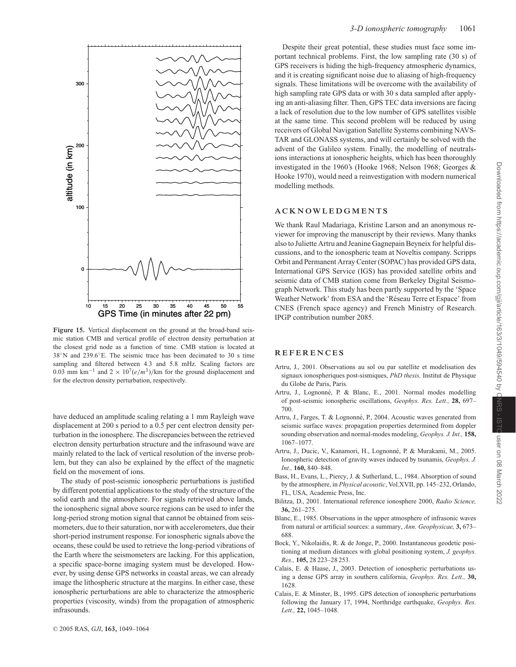

**Figure 15.** Vertical displacement on the ground at the broad-band seismic station CMB and vertical profile of electron density perturbation at the closest grid node as a function of time. CMB station is located at 38◦N and 239.6◦E. The seismic trace has been decimated to 30 s time sampling and filtered between 4.3 and 5.8 mHz. Scaling factors are 0.03 mm km<sup>-1</sup> and 2 ×  $10^7 (e/m^3)/$ km for the ground displacement and for the electron density perturbation, respectively.

have deduced an amplitude scaling relating a 1 mm Rayleigh wave displacement at 200 s period to a 0.5 per cent electron density perturbation in the ionosphere. The discrepancies between the retrieved electron density perturbation structure and the infrasound wave are mainly related to the lack of vertical resolution of the inverse problem, but they can also be explained by the effect of the magnetic field on the movement of ions.

The study of post-seismic ionospheric perturbations is justified by different potential applications to the study of the structure of the solid earth and the atmosphere. For signals retrieved above lands, the ionospheric signal above source regions can be used to infer the long-period strong motion signal that cannot be obtained from seismometers, due to their saturation, nor with accelerometers, due their short-period instrument response. For ionospheric signals above the oceans, these could be used to retrieve the long-period vibrations of the Earth where the seismometers are lacking. For this application, a specific space-borne imaging system must be developed. However, by using dense GPS networks in coastal areas, we can already image the lithospheric structure at the margins. In either case, these ionospheric perturbations are able to characterize the atmospheric properties (viscosity, winds) from the propagation of atmospheric infrasounds.

Despite their great potential, these studies must face some important technical problems. First, the low sampling rate (30 s) of GPS receivers is hiding the high-frequency atmospheric dynamics, and it is creating significant noise due to aliasing of high-frequency signals. These limitations will be overcome with the availability of high sampling rate GPS data or with 30 s data sampled after applying an anti-aliasing filter. Then, GPS TEC data inversions are facing a lack of resolution due to the low number of GPS satellites visible at the same time. This second problem will be reduced by using receivers of Global Navigation Satellite Systems combining NAVS-TAR and GLONASS systems, and will certainly be solved with the advent of the Galileo system. Finally, the modelling of neutralsions interactions at ionospheric heights, which has been thoroughly investigated in the 1960's (Hooke 1968; Nelson 1968; Georges & Hooke 1970), would need a reinvestigation with modern numerical modelling methods.

## **ACKNOW LEDGMENTS**

We thank Raul Madariaga, Kristine Larson and an anonymous reviewer for improving the manuscript by their reviews. Many thanks also to Juliette Artru and Jeanine Gagnepain Beyneix for helpful discussions, and to the ionospheric team at Noveltis company. Scripps Orbit and Permanent Array Center (SOPAC) has provided GPS data, International GPS Service (IGS) has provided satellite orbits and seismic data of CMB station come from Berkeley Digital Seismograph Network. This study has been partly supported by the 'Space Weather Network' from ESA and the 'Réseau Terre et Espace' from CNES (French space agency) and French Ministry of Research. IPGP contribution number 2085.

## **REFERENCES**

- Artru, J., 2001. Observations au sol ou par satellite et modelisation des signaux ionospheriques post-sismiques, *PhD thesis,* Institut de Physique du Globe de Paris, Paris.
- Artru, J., Lognonné, P. & Blanc, E., 2001. Normal modes modelling of post-seismic ionospheric oscillations, *Geophys. Res. Lett.,* **28,** 697– 700.
- Artru, J., Farges, T. & Lognonné, P., 2004. Acoustic waves generated from seismic surface waves: propagation properties determined from doppler sounding observation and normal-modes modeling, *Geophys. J. Int.,* **158,** 1067–1077.
- Artru, J., Ducic, V., Kanamori, H., Lognonné, P. & Murakami, M., 2005. Ionospheric detection of gravity waves induced by tsunamis, *Geophys. J. Int.,* **160,** 840–848.
- Bass, H., Evans, L., Piercy, J. & Sutherland, L., 1984. Absorption of sound by the atmosphere, in *Physical acoustic*, Vol.XVII, pp. 145–232, Orlando, FL, USA, Academic Press, Inc.
- Bilitza, D., 2001. International reference ionosphere 2000, *Radio Science,* **36,** 261–275.
- Blanc, E., 1985. Observations in the upper atmosphere of infrasonic waves from natural or artificial sources: a summary, *Ann. Geophysicae,* **3,** 673– 688.
- Bock, Y., Nikolaidis, R. & de Jonge, P., 2000. Instantaneous geodetic positioning at medium distances with global positioning system, *J. geophys. Res.,* **105,** 28 223–28 253.
- Calais, E. & Haase, J., 2003. Detection of ionospheric perturbations using a dense GPS array in southern california, *Geophys. Res. Lett.,* **30,** 1628.
- Calais, E. & Minster, B., 1995. GPS detection of ionospheric perturbations following the January 17, 1994, Northridge earthquake, *Geophys. Res. Lett.,* **22,** 1045–1048.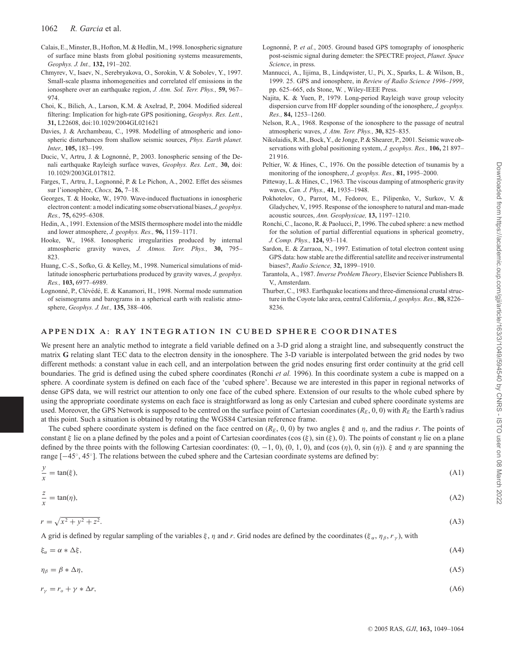- Calais, E., Minster, B., Hofton, M. & Hedlin, M., 1998. Ionospheric signature of surface mine blasts from global positioning systems measurements, *Geophys. J. Int.,* **132,** 191–202.
- Chmyrev, V., Isaev, N., Serebryakova, O., Sorokin, V. & Sobolev, Y., 1997. Small-scale plasma inhomogeneities and correlated elf emissions in the ionosphere over an earthquake region, *J. Atm. Sol. Terr. Phys.,* **59,** 967– 974.
- Choi, K., Bilich, A., Larson, K.M. & Axelrad, P., 2004. Modified sidereal filtering: Implication for high-rate GPS positioning, *Geophys. Res. Lett.*, **31,** L22608, doi:10.1029/2004GL021621
- Davies, J. & Archambeau, C., 1998. Modelling of atmospheric and ionospheric disturbances from shallow seismic sources, *Phys. Earth planet. Inter.,* **105,** 183–199.
- Ducic, V., Artru, J. & Lognonné, P., 2003. Ionospheric sensing of the Denali earthquake Rayleigh surface waves, *Geophys. Res. Lett.,* **30,** doi: 10.1029/2003GL017812.
- Farges, T., Artru, J., Lognonné, P. & Le Pichon, A., 2002. Effet des séismes sur l'ionosph`ere, *Chocs,* **26,** 7–18.
- Georges, T. & Hooke, W., 1970. Wave-induced fluctuations in ionospheric electron content: a model indicating some observational biases, *J. geophys. Res.,* **75,** 6295–6308.
- Hedin, A., 1991. Extension of the MSIS thermosphere model into the middle and lower atmosphere, *J. geophys. Res.,* **96,** 1159–1171.
- Hooke, W., 1968. Ionospheric irregularities produced by internal atmospheric gravity waves, *J. Atmos. Terr. Phys.,* **30,** 795– 823.
- Huang, C.-S., Sofko, G. & Kelley, M., 1998. Numerical simulations of midlatitude ionospheric perturbations produced by gravity waves, *J. geophys. Res.,* **103,** 6977–6989.
- Lognonné, P., Clévédé, E. & Kanamori, H., 1998. Normal mode summation of seismograms and barograms in a spherical earth with realistic atmosphere, *Geophys. J. Int.,* **135,** 388–406.
- Lognonné, P. *et al.*, 2005. Ground based GPS tomography of ionospheric post-seismic signal during demeter: the SPECTRE project, *Planet. Space Science*, in press.
- Mannucci, A., Iijima, B., Lindqwister, U., Pi, X., Sparks, L. & Wilson, B., 1999. 25. GPS and ionosphere, in *Review of Radio Science 1996–1999*, pp. 625–665, eds Stone, W. , Wiley-IEEE Press.
- Najita, K. & Yuen, P., 1979. Long-period Rayleigh wave group velocity dispersion curve from HF doppler sounding of the ionosphere, *J. geophys. Res.,* **84,** 1253–1260.
- Nelson, R.A., 1968. Response of the ionosphere to the passage of neutral atmospheric waves, *J. Atm. Terr. Phys.,* **30,** 825–835.
- Nikolaidis, R.M., Bock, Y., de Jonge, P. & Shearer, P., 2001. Seismic wave observations with global positioning system, *J. geophys. Res.,* **106,** 21 897– 21 916.
- Peltier, W. & Hines, C., 1976. On the possible detection of tsunamis by a monitoring of the ionosphere, *J. geophys. Res.,* **81,** 1995–2000.
- Pitteway, L. & Hines, C., 1963. The viscous damping of atmospheric gravity waves, *Can. J. Phys.,* **41,** 1935–1948.
- Pokhotelov, O., Parrot, M., Fedorov, E., Pilipenko, V., Surkov, V. & Gladychev, V., 1995. Response of the ionosphere to natural and man-made acoustic sources, *Ann. Geophysicae,* **13,** 1197–1210.
- Ronchi, C., Iacono, R. & Paolucci, P., 1996. The cubed sphere: a new method for the solution of partial differential equations in spherical geometry, *J. Comp. Phys.,* **124,** 93–114.
- Sardon, E. & Zarraoa, N., 1997. Estimation of total electron content using GPS data: how stable are the differential satellite and receiver instrumental biases?, *Radio Science,* **32,** 1899–1910.
- Tarantola, A., 1987. *Inverse Problem Theory*, Elsevier Science Publishers B. V., Amsterdam.
- Thurber, C., 1983. Earthquake locations and three-dimensional crustal structure in the Coyote lake area, central California, *J. geophys. Res.,* **88,** 8226– 8236.

## **APPENDIX A: RAY INTEGRATION IN CUBED SPHERE COORDINATES**

We present here an analytic method to integrate a field variable defined on a 3-D grid along a straight line, and subsequently construct the matrix **G** relating slant TEC data to the electron density in the ionosphere. The 3-D variable is interpolated between the grid nodes by two different methods: a constant value in each cell, and an interpolation between the grid nodes ensuring first order continuity at the grid cell boundaries. The grid is defined using the cubed sphere coordinates (Ronchi *et al.* 1996). In this coordinate system a cube is mapped on a sphere. A coordinate system is defined on each face of the 'cubed sphere'. Because we are interested in this paper in regional networks of dense GPS data, we will restrict our attention to only one face of the cubed sphere. Extension of our results to the whole cubed sphere by using the appropriate coordinate systems on each face is straightforward as long as only Cartesian and cubed sphere coordinate systems are used. Moreover, the GPS Network is supposed to be centred on the surface point of Cartesian coordinates  $(R_E, 0, 0)$  with  $R_E$  the Earth's radius at this point. Such a situation is obtained by rotating the WGS84 Cartesian reference frame.

The cubed sphere coordinate system is defined on the face centred on  $(R_E, 0, 0)$  by two angles  $\xi$  and  $\eta$ , and the radius r. The points of constant ξ lie on a plane defined by the poles and a point of Cartesian coordinates (cos  $(\xi)$ , sin  $(\xi)$ , 0). The points of constant  $\eta$  lie on a plane defined by the three points with the following Cartesian coordinates:  $(0, -1, 0)$ ,  $(0, 1, 0)$ , and  $(\cos(\eta), 0, \sin(\eta))$ .  $\xi$  and  $\eta$  are spanning the range [−45◦, 45◦]. The relations between the cubed sphere and the Cartesian coordinate systems are defined by:

$$
\frac{y}{x} = \tan(\xi),\tag{A1}
$$
\n
$$
\frac{z}{x} = \tan(\eta),\tag{A2}
$$
\n
$$
r = \sqrt{x^2 + y^2 + z^2}.\tag{A3}
$$

A grid is defined by regular sampling of the variables  $\xi$ ,  $\eta$  and  $r$ . Grid nodes are defined by the coordinates ( $\xi_{\alpha}$ ,  $\eta_{\beta}$ ,  $r_{\gamma}$ ), with

| $\xi_{\alpha} = \alpha * \Delta \xi,$ | (A4) |
|---------------------------------------|------|
|                                       |      |

 $\eta_{\beta} = \beta * \Delta \eta,$  (A5)

$$
r_{\gamma} = r_o + \gamma * \Delta r,\tag{A6}
$$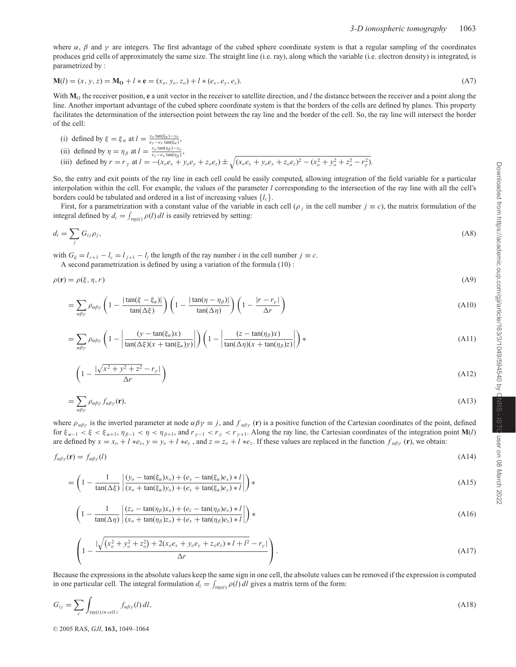where  $\alpha$ ,  $\beta$  and  $\gamma$  are integers. The first advantage of the cubed sphere coordinate system is that a regular sampling of the coordinates produces grid cells of approximately the same size. The straight line (i.e. ray), along which the variable (i.e. electron density) is integrated, is parametrized by :

$$
\mathbf{M}(l) = (x, y, z) = \mathbf{M_0} + l * \mathbf{e} = (x_o, y_o, z_o) + l * (e_x, e_y, e_z).
$$
\n(A7)

With  $M<sub>O</sub>$  the receiver position, **e** a unit vector in the receiver to satellite direction, and *l* the distance between the receiver and a point along the line. Another important advantage of the cubed sphere coordinate system is that the borders of the cells are defined by planes. This property facilitates the determination of the intersection point between the ray line and the border of the cell. So, the ray line will intersect the border of the cell:

(i) defined by 
$$
\xi = \xi_{\alpha}
$$
 at  $l = \frac{x_o \tan(\xi_{\alpha}) - y_o}{e_y - e_x \tan(\xi_{\alpha})}$ ,

(ii) defined by 
$$
\eta = \eta_{\beta}
$$
 at  $l = \frac{x_o \tan(\eta_{\beta}) - z_o}{e_z - e_x \tan(\eta_{\beta})}$ ,

(iii) defined by  $r = r_\gamma$  at  $l = -(x_0 e_x + y_0 e_y + z_0 e_z) \pm \sqrt{(x_0 e_x + y_0 e_y + z_0 e_z)^2 - (x_0^2 + y_0^2 + z_0^2 - r_\gamma^2)}$ .

So, the entry and exit points of the ray line in each cell could be easily computed, allowing integration of the field variable for a particular interpolation within the cell. For example, the values of the parameter *l* corresponding to the intersection of the ray line with all the cell's borders could be tabulated and ordered in a list of increasing values {*lc*}.

First, for a parametrization with a constant value of the variable in each cell ( $\rho_j$  in the cell number  $j \equiv c$ ), the matrix formulation of the integral defined by  $d_i = \int_{\text{ray}(i)} \rho(l) \, dl$  is easily retrieved by setting:

$$
d_i = \sum_j G_{ij} \rho_j,\tag{A8}
$$

with  $G_{ij} = l_{c+1} - l_c = l_{j+1} - l_j$  the length of the ray number *i* in the cell number  $j \equiv c$ . A second parametrization is defined by using a variation of the formula (10) :

$$
\rho(\mathbf{r}) = \rho(\xi, \eta, r) \tag{A9}
$$

$$
= \sum_{\alpha\beta\gamma} \rho_{\alpha\beta\gamma} \left( 1 - \frac{|\tan(\xi - \xi_{\alpha})|}{\tan(\Delta\xi)} \right) \left( 1 - \frac{|\tan(\eta - \eta_{\beta})|}{\tan(\Delta\eta)} \right) \left( 1 - \frac{|r - r_{\gamma}|}{\Delta r} \right) \tag{A10}
$$

$$
= \sum_{\alpha\beta\gamma} \rho_{\alpha\beta\gamma} \left( 1 - \left| \frac{(\gamma - \tan(\xi_{\alpha})x)}{\tan(\Delta\xi)(x + \tan(\xi_{\alpha})y)} \right| \right) \left( 1 - \left| \frac{(z - \tan(\eta_{\beta})x)}{\tan(\Delta\eta)(x + \tan(\eta_{\beta})z)} \right| \right) * \tag{A11}
$$

$$
\left(1 - \frac{|\sqrt{x^2 + y^2 + z^2} - r_{\gamma}|}{\Delta r}\right) \tag{A12}
$$

$$
=\sum_{\alpha\beta\gamma}\rho_{\alpha\beta\gamma}f_{\alpha\beta\gamma}(\mathbf{r}),\tag{A13}
$$

where  $\rho_{\alpha\beta\gamma}$  is the inverted parameter at node  $\alpha\beta\gamma \equiv j$ , and  $f_{\alpha\beta\gamma}$  (**r**) is a positive function of the Cartesian coordinates of the point, defined for  $\xi_{\alpha-1} < \xi < \xi_{\alpha+1}$ ,  $\eta_{\beta-1} < \eta < \eta_{\beta+1}$ , and  $r_{\gamma-1} < r_{\gamma} < r_{\gamma+1}$ . Along the ray line, the Cartesian coordinates of the integration point **M**(*l*) are defined by  $x = x_0 + l *e_x$ ,  $y = y_0 + l *e_y$ , and  $z = z_0 + l *e_z$ . If these values are replaced in the function  $f_{\alpha\beta\gamma}(\mathbf{r})$ , we obtain:

$$
f_{\alpha\beta\gamma}(\mathbf{r}) = f_{\alpha\beta\gamma}(l) \tag{A14}
$$

$$
= \left(1 - \frac{1}{\tan(\Delta\xi)} \left| \frac{(y_o - \tan(\xi_\alpha)x_o) + (e_y - \tan(\xi_\alpha)e_x) * l}{(x_o + \tan(\xi_\alpha)y_o) + (e_x + \tan(\xi_\alpha)e_y) * l} \right| \right) * \tag{A15}
$$

$$
\left(1 - \frac{1}{\tan(\Delta \eta)} \left| \frac{(z_o - \tan(\eta_\beta)x_o) + (e_z - \tan(\eta_\beta)e_x) * l}{(x_o + \tan(\eta_\beta)z_o) + (e_x + \tan(\eta_\beta)e_z) * l} \right| \right) * \tag{A16}
$$

$$
\left(1 - \frac{\sqrt{(x_o^2 + y_o^2 + z_o^2) + 2(x_o e_x + y_o e_y + z_o e_z) * l + l^2} - r_{\gamma}}{\Delta r}\right). \tag{A17}
$$

Because the expressions in the absolute values keep the same sign in one cell, the absolute values can be removed if the expression is computed in one particular cell. The integral formulation  $d_i = \int_{ray(i)} \rho(l) dl$  gives a matrix term of the form:

$$
G_{ij} = \sum_{c} \int_{\text{ray}(i) \text{ in cell } c} f_{\alpha\beta\gamma}(l) \, dl,
$$
\n(A18)

<sup>C</sup> 2005 RAS, *GJI*, **163,** 1049–1064